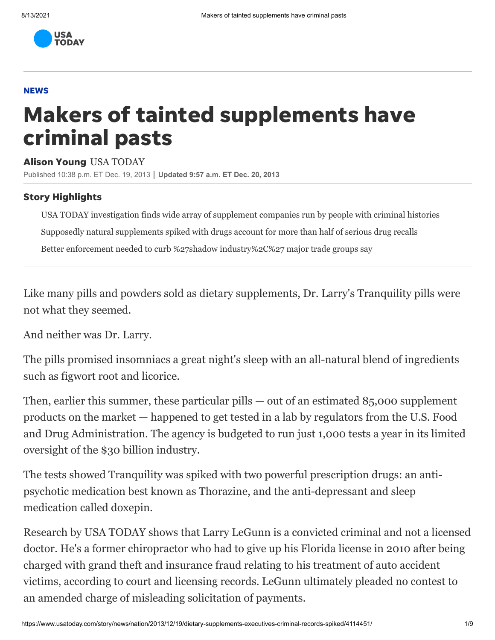

#### **NEWS**

# Makers of tainted supplements have criminal pasts

Alison Young USA TODAY

Published 10:38 p.m. ET Dec. 19, 2013 **Updated 9:57 a.m. ET Dec. 20, 2013**

### Story Highlights

USA TODAY investigation finds wide array of supplement companies run by people with criminal histories Supposedly natural supplements spiked with drugs account for more than half of serious drug recalls Better enforcement needed to curb %27shadow industry%2C%27 major trade groups say

Like many pills and powders sold as dietary supplements, Dr. Larry's Tranquility pills were not what they seemed.

And neither was Dr. Larry.

The pills promised insomniacs a great night's sleep with an all-natural blend of ingredients such as figwort root and licorice.

Then, earlier this summer, these particular pills — out of an estimated 85,000 supplement products on the market — happened to get tested in a lab by regulators from the U.S. Food and Drug Administration. The agency is budgeted to run just 1,000 tests a year in its limited oversight of the \$30 billion industry.

The tests showed Tranquility was spiked with two powerful prescription drugs: an antipsychotic medication best known as Thorazine, and the anti-depressant and sleep medication called doxepin.

Research by USA TODAY shows that Larry LeGunn is a convicted criminal and not a licensed doctor. He's a former chiropractor who had to give up his Florida license in 2010 after being charged with [grand theft and insurance fraud](http://www.documentcloud.org/documents/886119-larry-legunn-probable-cause-affidavit-2005.html) relating to his treatment of auto accident victims, according to court and licensing records. LeGunn ultimately pleaded no contest to an amended charge of misleading solicitation of payments.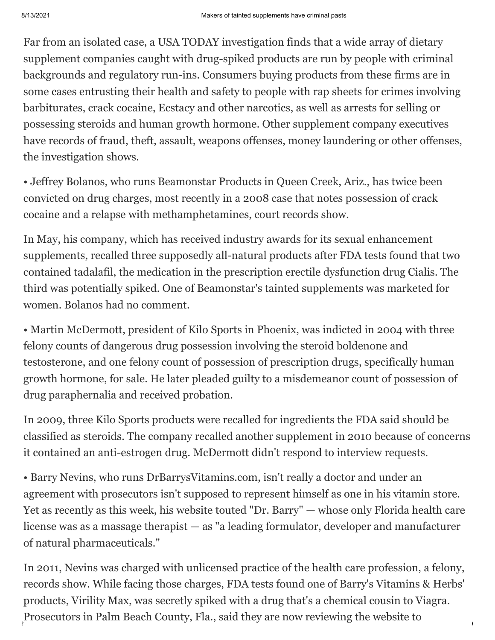Far from an isolated case, a USA TODAY investigation finds that a wide array of dietary supplement companies caught with drug-spiked products are run by people with criminal backgrounds and regulatory run-ins. Consumers buying products from these firms are in some cases entrusting their health and safety to people with rap sheets for crimes involving barbiturates, crack cocaine, Ecstacy and other narcotics, as well as arrests for selling or possessing steroids and human growth hormone. Other supplement company executives have records of fraud, theft, assault, weapons offenses, money laundering or other offenses, the investigation shows.

• Jeffrey Bolanos, who runs Beamonstar Products in Queen Creek, Ariz., has twice been [convicted on drug charges, most recently in a 2008 case that notes possession of crack](http://www.documentcloud.org/documents/815508-jeffrey-levi-bolanos-maricopa-county-criminal.html) cocaine and a relapse with methamphetamines, court records show.

In May, his company, which has received industry awards for its sexual enhancement supplements, recalled three supposedly all-natural products after FDA tests found that two contained tadalafil, the medication in the prescription erectile dysfunction drug Cialis. The third was potentially spiked. One of Beamonstar's tainted supplements was marketed for women. Bolanos had no comment.

• Martin McDermott, president of Kilo Sports in Phoenix, was indicted in 2004 with three felony counts of dangerous drug possession involving the steroid boldenone and [testosterone, and one felony count of possession of prescription drugs, specifically human](http://www.documentcloud.org/documents/815396-martin-john-mcdermott-search-warrant-2003.html) growth hormone, for sale. He later pleaded guilty to a misdemeanor count of possession of drug paraphernalia and received probation.

In 2009, three Kilo Sports products were recalled for ingredients the FDA said should be classified as steroids. The company recalled another supplement in 2010 because of concerns it contained an anti-estrogen drug. McDermott didn't respond to interview requests.

• Barry Nevins, who runs DrBarrysVitamins.com, isn't really a doctor and under an agreement with prosecutors isn't supposed to represent himself as one in his vitamin store. Yet as recently as this week, his website touted "Dr. Barry" — whose only Florida health care license was as a massage therapist — as "a leading formulator, developer and manufacturer of natural pharmaceuticals."

 $_{\rm t}$ Prosecutors in Palm Beach County, Fla., said they are now reviewing the website to  $_{\rm t}$ In 2011, Nevins was charged with unlicensed practice of the health care profession, a felony, [records show.](http://www.documentcloud.org/documents/834981-nevins-barry-probable-cause-affidavit-2011.html) While facing those charges, FDA tests found one of Barry's Vitamins & Herbs' products, Virility Max, was secretly spiked with a drug that's a chemical cousin to Viagra.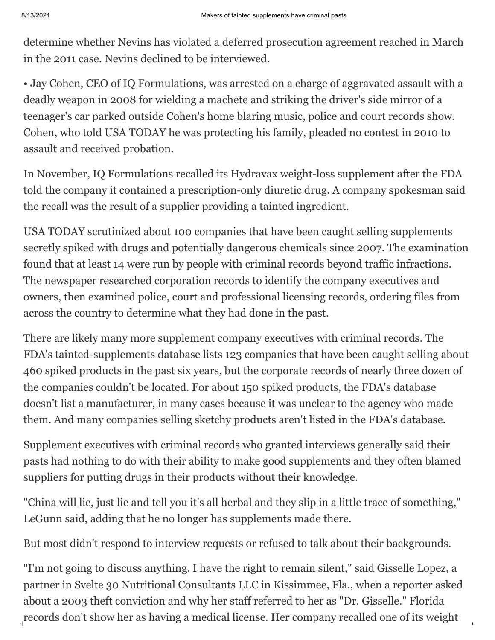determine whether Nevins has violated [a deferred prosecution agreement](http://www.documentcloud.org/documents/877832-state-of-florida-v-barry-nevins-deferred.html) reached in March in the 2011 case. Nevins declined to be interviewed.

[• Jay Cohen, CEO of IQ Formulations, was arrested on a charge of aggravated assault with a](http://www.documentcloud.org/documents/885574-broward-incident-report-jay-cohen-doc-07-10-69.html) deadly weapon in 2008 for wielding a machete and striking the driver's side mirror of a teenager's car parked outside Cohen's home blaring music, police and court records show. Cohen, who told USA TODAY he was protecting his family, pleaded no contest in 2010 to assault and received probation.

In November, IQ Formulations recalled its Hydravax weight-loss supplement after the FDA told the company it contained a prescription-only diuretic drug. A company spokesman said the recall was the result of a supplier providing a tainted ingredient.

USA TODAY scrutinized about 100 companies that have been caught selling supplements secretly spiked with drugs and potentially dangerous chemicals since 2007. The examination found that at least 14 were run by people with criminal records beyond traffic infractions. The newspaper researched corporation records to identify the company executives and owners, then examined police, court and professional licensing records, ordering files from across the country to determine what they had done in the past.

There are likely many more supplement company executives with criminal records. The [FDA's tainted-supplements database](http://www.accessdata.fda.gov/scripts/sda/sdNavigation.cfm?sd=tainted_supplements_cder&displayAll=false&page=6) lists 123 companies that have been caught selling about 460 spiked products in the past six years, but the corporate records of nearly three dozen of the companies couldn't be located. For about 150 spiked products, the FDA's database doesn't list a manufacturer, in many cases because it was unclear to the agency who made them. And many companies selling sketchy products aren't listed in the FDA's database.

Supplement executives with criminal records who granted interviews generally said their pasts had nothing to do with their ability to make good supplements and they often blamed suppliers for putting drugs in their products without their knowledge.

"China will lie, just lie and tell you it's all herbal and they slip in a little trace of something," LeGunn said, adding that he no longer has supplements made there.

But most didn't respond to interview requests or refused to talk about their backgrounds.

 $\frac{1}{\sqrt{2}}$ records don't show her as having a medical license. Her company recalled one of its weight "I'm not going to discuss anything. I have the right to remain silent," said Gisselle Lopez, a partner in Svelte 30 Nutritional Consultants LLC in Kissimmee, Fla., when a reporter asked about a 2003 theft conviction and why her staff referred to her as "Dr. Gisselle." Florida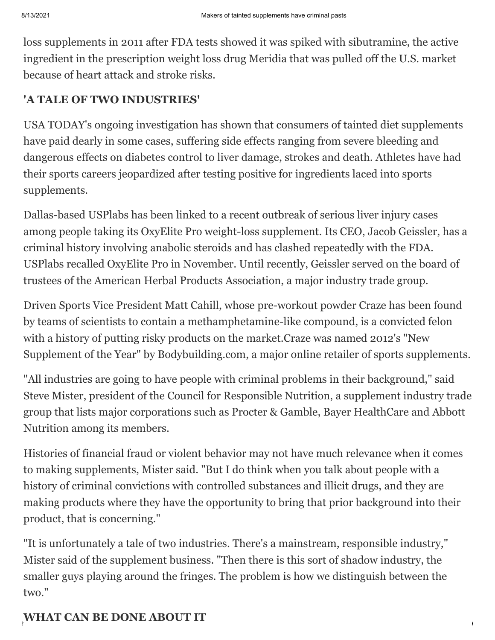loss supplements in 2011 after FDA tests showed it was spiked with sibutramine, the active ingredient in the prescription weight loss drug Meridia that was pulled off the U.S. market because of heart attack and stroke risks.

## **'A TALE OF TWO INDUSTRIES'**

USA TODAY's ongoing investigation has shown that consumers of tainted diet supplements have paid dearly in some cases, suffering side effects ranging from severe bleeding and dangerous effects on diabetes control to liver damage, strokes and death. Athletes have had their sports careers jeopardized after testing positive for ingredients laced into sports supplements.

Dallas-based USPlabs has been linked to a recent outbreak of serious liver injury cases among people taking its OxyElite Pro weight-loss supplement. Its CEO, Jacob Geissler, has a [criminal history involving anabolic steroids](https://www.usatoday.com/story/news/nation/2013/10/24/usplabs-has-history-of-fda-run-ins-ceo-with-criminal-history/3179113/) and has clashed repeatedly with the FDA. USPlabs recalled OxyElite Pro in November. Until recently, Geissler served on the board of trustees of the American Herbal Products Association, a major industry trade group.

Driven Sports Vice President Matt Cahill, whose pre-workout powder Craze has been found [by teams of scientists to](https://www.usatoday.com/story/news/nation/2013/07/25/bodybuilding-supplement-designer-matt-cahill-usa-today-investigation/2568815/) [contain a methamphetamine-like compound,](https://www.usatoday.com/story/news/2013/10/17/meth-like-compound-in-supplements-could-draw-criminal-investigation-from-dea/3003413/) [is a convicted felon](https://www.usatoday.com/story/news/nation/2013/07/25/bodybuilding-supplement-designer-matt-cahill-usa-today-investigation/2568815/) with a history of putting risky products on the market.Craze was named 2012's "New Supplement of the Year" by Bodybuilding.com, a major online retailer of sports supplements.

"All industries are going to have people with criminal problems in their background," said Steve Mister, president of the Council for Responsible Nutrition, a supplement industry trade group that lists major corporations such as Procter & Gamble, Bayer HealthCare and Abbott Nutrition among its members.

Histories of financial fraud or violent behavior may not have much relevance when it comes to making supplements, Mister said. "But I do think when you talk about people with a history of criminal convictions with controlled substances and illicit drugs, and they are making products where they have the opportunity to bring that prior background into their product, that is concerning."

"It is unfortunately a tale of two industries. There's a mainstream, responsible industry," Mister said of the supplement business. "Then there is this sort of shadow industry, the smaller guys playing around the fringes. The problem is how we distinguish between the two."

#### https://www.usatoday.com/story/news/nation/2013/12/19/dietary-supplements-executives-criminal-records-spiked/4 **WHAT CAN BE DONE ABOUT IT**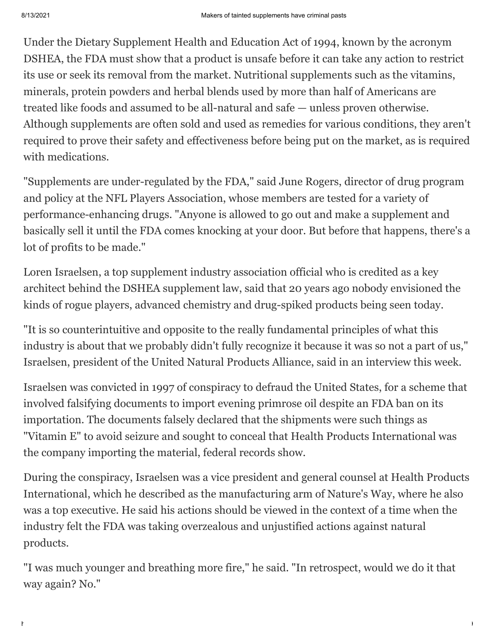Under the Dietary Supplement Health and Education Act of 1994, known by the acronym DSHEA, the FDA must show that a product is unsafe before it can take any action to restrict its use or seek its removal from the market. Nutritional supplements such as the vitamins, minerals, protein powders and herbal blends used by more than half of Americans are treated like foods and assumed to be all-natural and safe — unless proven otherwise. Although supplements are often sold and used as remedies for various conditions, they aren't required to prove their safety and effectiveness before being put on the market, as is required with medications.

"Supplements are under-regulated by the FDA," said June Rogers, director of drug program and policy at the NFL Players Association, whose members are tested for a variety of performance-enhancing drugs. "Anyone is allowed to go out and make a supplement and basically sell it until the FDA comes knocking at your door. But before that happens, there's a lot of profits to be made."

Loren Israelsen, a top supplement industry association official who is credited as a key architect behind the DSHEA supplement law, said that 20 years ago nobody envisioned the kinds of rogue players, advanced chemistry and drug-spiked products being seen today.

"It is so counterintuitive and opposite to the really fundamental principles of what this industry is about that we probably didn't fully recognize it because it was so not a part of us," Israelsen, president of the United Natural Products Alliance, said in an interview this week.

Israelsen was [convicted in 1997 of conspiracy to defraud the United States](http://www.documentcloud.org/documents/955904-israelsen-judgment-stipulation-information-96cr334.html), for a scheme that involved falsifying documents to import evening primrose oil despite an FDA ban on its importation. The documents falsely declared that the shipments were such things as "Vitamin E" to avoid seizure and sought to conceal that Health Products International was the company importing the material, federal records show.

During the conspiracy, Israelsen was a vice president and general counsel at Health Products International, which he described as the manufacturing arm of Nature's Way, where he also was a top executive. He said his actions should be viewed in the context of a time when the industry felt the FDA was taking overzealous and unjustified actions against natural products.

"I was much younger and breathing more fire," he said. "In retrospect, would we do it that way again? No."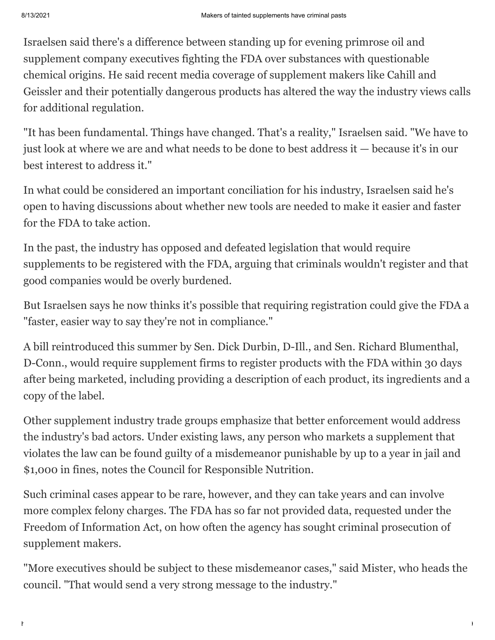Israelsen said there's a difference between standing up for evening primrose oil and supplement company executives fighting the FDA over substances with questionable chemical origins. He said recent media coverage of supplement makers like Cahill and Geissler and their potentially dangerous products has altered the way the industry views calls for additional regulation.

"It has been fundamental. Things have changed. That's a reality," Israelsen said. "We have to just look at where we are and what needs to be done to best address it — because it's in our best interest to address it."

In what could be considered an important conciliation for his industry, Israelsen said he's open to having discussions about whether new tools are needed to make it easier and faster for the FDA to take action.

In the past, the industry has opposed and defeated legislation that would require supplements to be registered with the FDA, arguing that criminals wouldn't register and that good companies would be overly burdened.

But Israelsen says he now thinks it's possible that requiring registration could give the FDA a "faster, easier way to say they're not in compliance."

A bill reintroduced this summer by Sen. Dick Durbin, D-Ill., and Sen. Richard Blumenthal, D-Conn., would require supplement firms to register products with the FDA within 30 days after being marketed, including providing a description of each product, its ingredients and a copy of the label.

Other supplement industry trade groups emphasize that better enforcement would address the industry's bad actors. Under existing laws, any person who markets a supplement that violates the law can be found guilty of a misdemeanor punishable by up to a year in jail and \$1,000 in fines, notes the Council for Responsible Nutrition.

Such criminal cases appear to be rare, however, and they can take years and can involve more complex felony charges. The FDA has so far not provided data, requested under the Freedom of Information Act, on how often the agency has sought criminal prosecution of supplement makers.

"More executives should be subject to these misdemeanor cases," said Mister, who heads the council. "That would send a very strong message to the industry."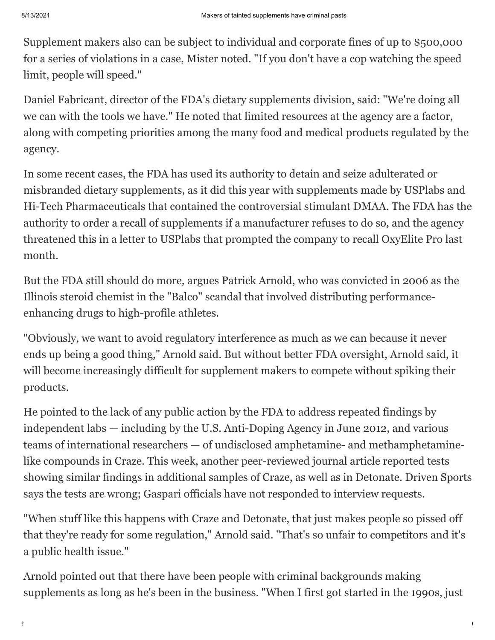Supplement makers also can be subject to individual and corporate fines of up to \$500,000 for a series of violations in a case, Mister noted. "If you don't have a cop watching the speed limit, people will speed."

Daniel Fabricant, director of the FDA's dietary supplements division, said: "We're doing all we can with the tools we have." He noted that limited resources at the agency are a factor, along with competing priorities among the many food and medical products regulated by the agency.

In some recent cases, the FDA has used its authority to detain and seize adulterated or misbranded dietary supplements, as it did this year with supplements made by USPlabs and Hi-Tech Pharmaceuticals that contained the controversial stimulant DMAA. The FDA has the authority to order a recall of supplements if a manufacturer refuses to do so, and the agency threatened this in a letter to USPlabs that prompted the company to recall OxyElite Pro last month.

But the FDA still should do more, argues Patrick Arnold, who was [convicted in 2006](http://www.documentcloud.org/documents/955966-arnold-patrick-judgment-05-00703.html) as the Illinois steroid [chemist in the "Balco" scandal](http://www.documentcloud.org/documents/955958-arnold-patrick-indictment-05-00703.html) that involved distributing performanceenhancing drugs to high-profile athletes.

"Obviously, we want to avoid regulatory interference as much as we can because it never ends up being a good thing," Arnold said. But without better FDA oversight, Arnold said, it will become increasingly difficult for supplement makers to compete without spiking their products.

He pointed to the lack of any public action by the FDA to address repeated findings by independent labs — including by the U.S. Anti-Doping Agency in June 2012, and various teams of international researchers — of undisclosed amphetamine- and methamphetaminelike compounds in Craze. This week, another peer-reviewed journal article reported tests showing similar findings in additional samples of Craze, as well as in Detonate. Driven Sports says the tests are wrong; Gaspari officials have not responded to interview requests.

"When stuff like this happens with Craze and Detonate, that just makes people so pissed off that they're ready for some regulation," Arnold said. "That's so unfair to competitors and it's a public health issue."

Arnold pointed out that there have been people with criminal backgrounds making supplements as long as he's been in the business. "When I first got started in the 1990s, just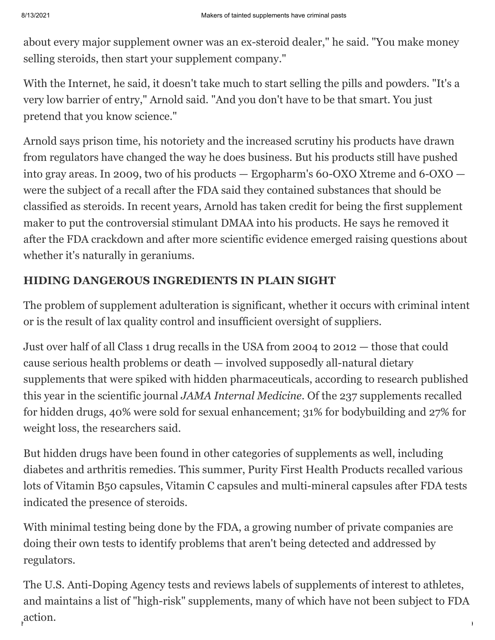about every major supplement owner was an ex-steroid dealer," he said. "You make money selling steroids, then start your supplement company."

With the Internet, he said, it doesn't take much to start selling the pills and powders. "It's a very low barrier of entry," Arnold said. "And you don't have to be that smart. You just pretend that you know science."

Arnold says prison time, his notoriety and the increased scrutiny his products have drawn from regulators have changed the way he does business. But his products still have pushed into gray areas. In 2009, two of his products — Ergopharm's 60-OXO Xtreme and 6-OXO were the subject of a recall after the FDA said they contained substances that should be classified as steroids. In recent years, Arnold has taken credit for being the first supplement maker to put the controversial stimulant DMAA into his products. He says he removed it after the FDA crackdown and after more scientific evidence emerged raising questions about whether it's naturally in geraniums.

## **HIDING DANGEROUS INGREDIENTS IN PLAIN SIGHT**

The problem of supplement adulteration is significant, whether it occurs with criminal intent or is the result of lax quality control and insufficient oversight of suppliers.

Just over half of all Class 1 drug recalls in the USA from 2004 to 2012 — those that could cause serious health problems or death — involved supposedly all-natural dietary supplements that were spiked with hidden pharmaceuticals, according to research published this year in the scientific journal *JAMA Internal Medicine.* Of the 237 supplements recalled for hidden drugs, 40% were sold for sexual enhancement; 31% for bodybuilding and 27% for weight loss, the researchers said.

But hidden drugs have been found in other categories of supplements as well, including diabetes and arthritis remedies. This summer, Purity First Health Products recalled various lots of Vitamin B50 capsules, Vitamin C capsules and multi-mineral capsules after FDA tests indicated the presence of steroids.

With minimal testing being done by the FDA, a growing number of private companies are doing their own tests to identify problems that aren't being detected and addressed by regulators.

https://www.usatoday.com/story/news/nation/2013/12/19/dietary-supplements-executives-criminal-records-spiked/4114451/ 8/9 The U.S. Anti-Doping Agency tests and reviews labels of supplements of interest to athletes, and maintains [a list of "high-risk" supplements,](http://www.usada.org/supplement411/high-risk-list) many of which have not been subject to FDA action.